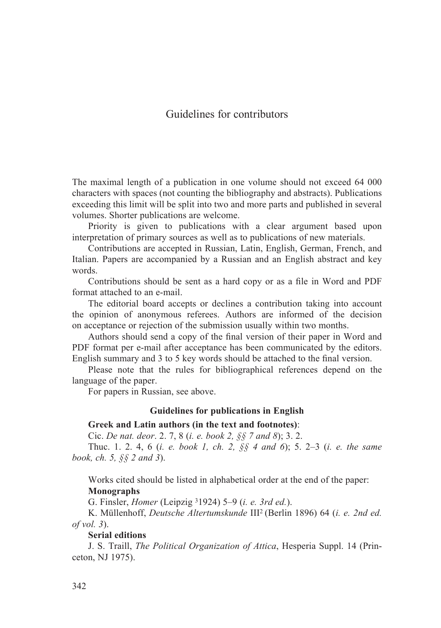# Guidelines for contributors

The maximal length of a publication in one volume should not exceed 64 000 characters with spaces (not counting the bibliography and abstracts). Publications exceeding this limit will be split into two and more parts and published in several volumes. Shorter publications are welcome.

Priority is given to publications with a clear argument based upon interpretation of primary sources as well as to publications of new materials.

Contributions are accepted in Russian, Latin, English, German, French, and Italian. Papers are accompanied by a Russian and an English abstract and key words.

Contributions should be sent as a hard copy or as a file in Word and PDF format attached to an e-mail.

The editorial board accepts or declines a contribution taking into account the opinion of anonymous referees. Authors are informed of the decision on acceptance or rejection of the submission usually within two months.

Authors should send a copy of the final version of their paper in Word and PDF format per e-mail after acceptance has been communicated by the editors. English summary and 3 to 5 key words should be attached to the final version.

Please note that the rules for bibliographical references depend on the language of the paper.

For papers in Russian, see above.

#### **Guidelines for publications in English**

#### **Greek and Latin authors (in the text and footnotes)**:

Cic. *De nat. deor*. 2. 7, 8 (*i. е. book 2, §§ 7 and 8*); 3. 2.

Thuc. 1. 2. 4, 6 (*i. e. book 1, ch. 2, §§ 4 and 6*); 5. 2–3 (*i. e. the same book, ch. 5, §§ 2 and 3*).

Works cited should be listed in alphabetical order at the end of the paper: **Monographs**

G. Finsler, *Homer* (Leipzig 31924) 5–9 (*i. e. 3rd ed.*).

K. Müllenhoff, *Deutsche Altertumskunde* III2 (Berlin 1896) 64 (*i. e. 2nd ed. of vol. 3*).

### **Serial editions**

J. S. Traill, *The Political Organization of Attica*, Hesperia Suppl. 14 (Princeton, NJ 1975).